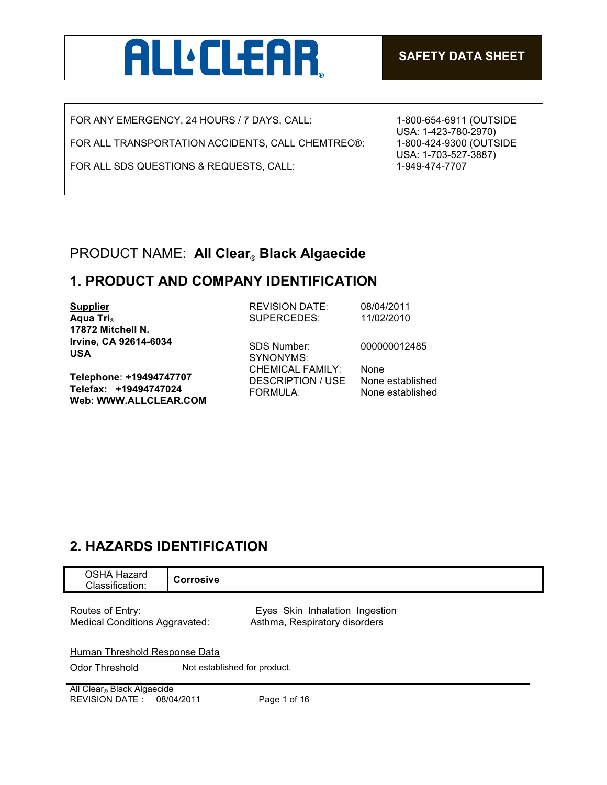

FOR ANY EMERGENCY, 24 HOURS / 7 DAYS, CALL:

FOR ALL TRANSPORTATION ACCIDENTS, CALL CHEMTREC®:

FOR ALL SDS QUESTIONS & REQUESTS, CALL:

1-800-654-6911 (OUTSIDE USA: 1-423-780-2970) 1-800-424-9300 (OUTSIDE USA: 1-703-527-3887) 1-949-474-7707

## PRODUCT NAME: **All Clear**® **Black Algaecide**

## **1. PRODUCT AND COMPANY IDENTIFICATION**

| <b>Supplier</b>                                                           | <b>REVISION DATE:</b>                                    | 08/04/2011                                          |
|---------------------------------------------------------------------------|----------------------------------------------------------|-----------------------------------------------------|
| Aqua Tri <sub>®</sub>                                                     | SUPERCEDES:                                              | 11/02/2010                                          |
| 17872 Mitchell N.                                                         |                                                          |                                                     |
| Irvine, CA 92614-6034<br><b>USA</b>                                       | <b>SDS Number:</b><br>SYNONYMS:                          | 000000012485                                        |
| Telephone: +19494747707<br>Telefax: +19494747024<br>Web: WWW.ALLCLEAR.COM | <b>CHEMICAL FAMILY:</b><br>DESCRIPTION / USE<br>FORMULA: | <b>None</b><br>None established<br>None established |

## **2. HAZARDS IDENTIFICATION**

| OSHA Hazard<br>Classification:                          | <b>Corrosive</b>             |                                                                 |
|---------------------------------------------------------|------------------------------|-----------------------------------------------------------------|
| Routes of Entry:<br>Medical Conditions Aggravated:      |                              | Eyes Skin Inhalation Ingestion<br>Asthma, Respiratory disorders |
| Human Threshold Response Data                           |                              |                                                                 |
| Odor Threshold                                          | Not established for product. |                                                                 |
| All Clear® Black Algaecide<br>REVISION DATE: 08/04/2011 |                              | Page 1 of 16                                                    |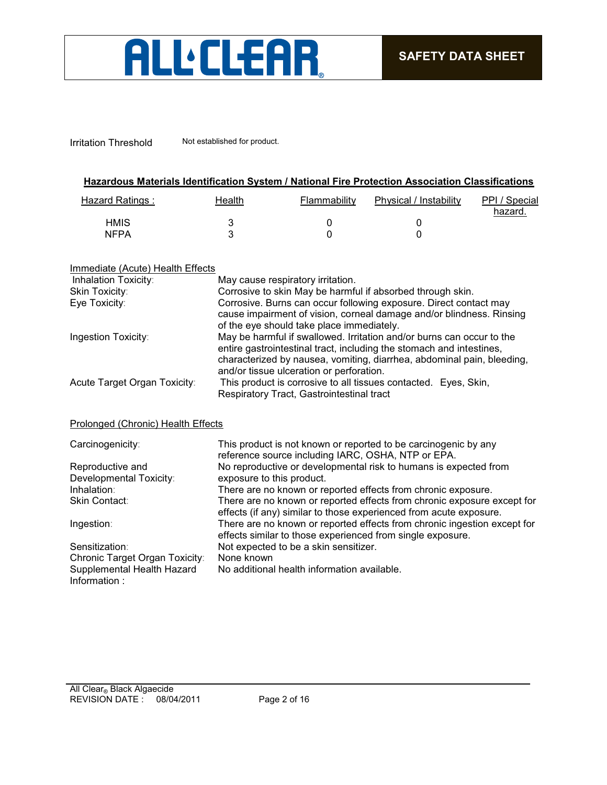# ALL'ELEAR

Irritation Threshold Not established for product.

| Hazardous Materials Identification System / National Fire Protection Association Classifications |
|--------------------------------------------------------------------------------------------------|
|                                                                                                  |

| Hazard Ratings: | Health | Flammability | Physical / Instability | PPI / Special<br>hazard. |
|-----------------|--------|--------------|------------------------|--------------------------|
| <b>HMIS</b>     |        |              |                        |                          |
| <b>NFPA</b>     |        |              |                        |                          |

|--|

| Inhalation Toxicity:         | May cause respiratory irritation.                                                                                                                                                                                                                                   |
|------------------------------|---------------------------------------------------------------------------------------------------------------------------------------------------------------------------------------------------------------------------------------------------------------------|
| Skin Toxicity:               | Corrosive to skin May be harmful if absorbed through skin.                                                                                                                                                                                                          |
| Eye Toxicity:                | Corrosive. Burns can occur following exposure. Direct contact may<br>cause impairment of vision, corneal damage and/or blindness. Rinsing<br>of the eye should take place immediately.                                                                              |
| Ingestion Toxicity:          | May be harmful if swallowed. Irritation and/or burns can occur to the<br>entire gastrointestinal tract, including the stomach and intestines,<br>characterized by nausea, vomiting, diarrhea, abdominal pain, bleeding,<br>and/or tissue ulceration or perforation. |
| Acute Target Organ Toxicity: | This product is corrosive to all tissues contacted. Eyes, Skin,<br>Respiratory Tract, Gastrointestinal tract                                                                                                                                                        |

#### Prolonged (Chronic) Health Effects

| Carcinogenicity:                            | This product is not known or reported to be carcinogenic by any<br>reference source including IARC, OSHA, NTP or EPA.                         |
|---------------------------------------------|-----------------------------------------------------------------------------------------------------------------------------------------------|
| Reproductive and                            | No reproductive or developmental risk to humans is expected from                                                                              |
| Developmental Toxicity:                     | exposure to this product.                                                                                                                     |
| Inhalation:                                 | There are no known or reported effects from chronic exposure.                                                                                 |
| <b>Skin Contact:</b>                        | There are no known or reported effects from chronic exposure except for<br>effects (if any) similar to those experienced from acute exposure. |
| Ingestion:                                  | There are no known or reported effects from chronic ingestion except for<br>effects similar to those experienced from single exposure.        |
| Sensitization:                              | Not expected to be a skin sensitizer.                                                                                                         |
| Chronic Target Organ Toxicity:              | None known                                                                                                                                    |
| Supplemental Health Hazard<br>Information : | No additional health information available.                                                                                                   |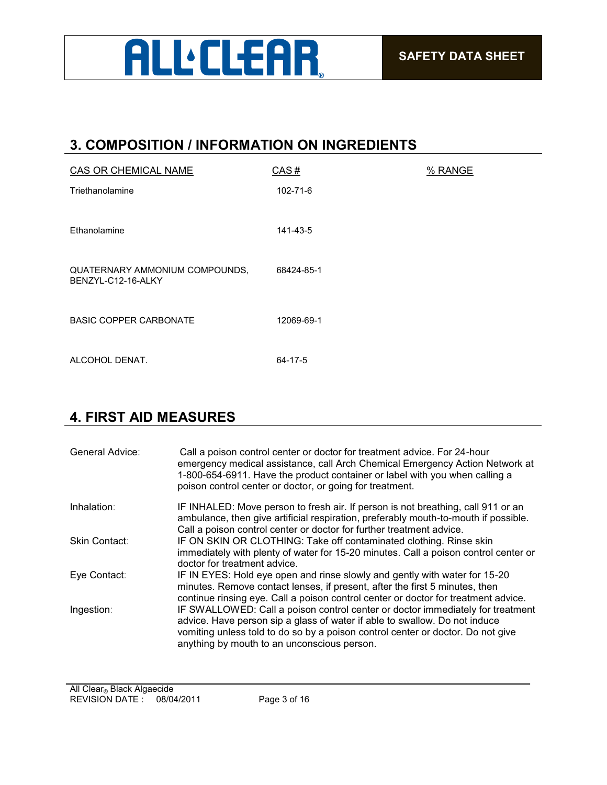

### **3. COMPOSITION / INFORMATION ON INGREDIENTS**

| <b>CAS OR CHEMICAL NAME</b>                          | CAS#           | % RANGE |
|------------------------------------------------------|----------------|---------|
| Triethanolamine                                      | $102 - 71 - 6$ |         |
| Ethanolamine                                         | 141-43-5       |         |
| QUATERNARY AMMONIUM COMPOUNDS,<br>BENZYL-C12-16-ALKY | 68424-85-1     |         |
| <b>BASIC COPPER CARBONATE</b>                        | 12069-69-1     |         |
| ALCOHOL DENAT.                                       | $64 - 17 - 5$  |         |

## **4. FIRST AID MEASURES**

| General Advice: | Call a poison control center or doctor for treatment advice. For 24-hour<br>emergency medical assistance, call Arch Chemical Emergency Action Network at<br>1-800-654-6911. Have the product container or label with you when calling a<br>poison control center or doctor, or going for treatment. |
|-----------------|-----------------------------------------------------------------------------------------------------------------------------------------------------------------------------------------------------------------------------------------------------------------------------------------------------|
| Inhalation:     | IF INHALED: Move person to fresh air. If person is not breathing, call 911 or an<br>ambulance, then give artificial respiration, preferably mouth-to-mouth if possible.<br>Call a poison control center or doctor for further treatment advice.                                                     |
| Skin Contact:   | IF ON SKIN OR CLOTHING: Take off contaminated clothing. Rinse skin<br>immediately with plenty of water for 15-20 minutes. Call a poison control center or<br>doctor for treatment advice.                                                                                                           |
| Eye Contact:    | IF IN EYES: Hold eye open and rinse slowly and gently with water for 15-20<br>minutes. Remove contact lenses, if present, after the first 5 minutes, then<br>continue rinsing eye. Call a poison control center or doctor for treatment advice.                                                     |
| Ingestion:      | IF SWALLOWED: Call a poison control center or doctor immediately for treatment<br>advice. Have person sip a glass of water if able to swallow. Do not induce<br>vomiting unless told to do so by a poison control center or doctor. Do not give<br>anything by mouth to an unconscious person.      |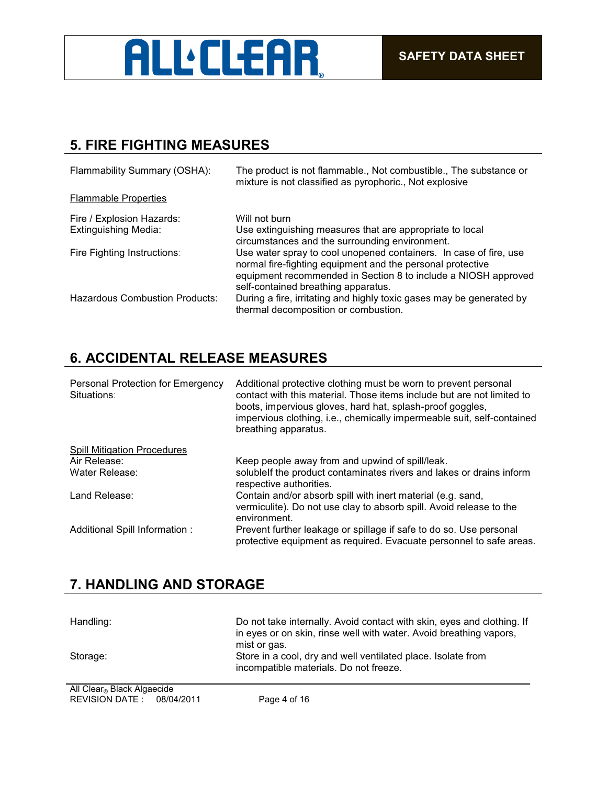

## **5. FIRE FIGHTING MEASURES**

| Flammability Summary (OSHA):          | The product is not flammable., Not combustible., The substance or<br>mixture is not classified as pyrophoric., Not explosive                                                                                                             |
|---------------------------------------|------------------------------------------------------------------------------------------------------------------------------------------------------------------------------------------------------------------------------------------|
| <b>Flammable Properties</b>           |                                                                                                                                                                                                                                          |
| Fire / Explosion Hazards:             | Will not burn                                                                                                                                                                                                                            |
| <b>Extinguishing Media:</b>           | Use extinguishing measures that are appropriate to local<br>circumstances and the surrounding environment.                                                                                                                               |
| Fire Fighting Instructions:           | Use water spray to cool unopened containers. In case of fire, use<br>normal fire-fighting equipment and the personal protective<br>equipment recommended in Section 8 to include a NIOSH approved<br>self-contained breathing apparatus. |
| <b>Hazardous Combustion Products:</b> | During a fire, irritating and highly toxic gases may be generated by<br>thermal decomposition or combustion.                                                                                                                             |

## **6. ACCIDENTAL RELEASE MEASURES**

| Personal Protection for Emergency<br>Situations: | Additional protective clothing must be worn to prevent personal<br>contact with this material. Those items include but are not limited to<br>boots, impervious gloves, hard hat, splash-proof goggles,<br>impervious clothing, i.e., chemically impermeable suit, self-contained<br>breathing apparatus. |
|--------------------------------------------------|----------------------------------------------------------------------------------------------------------------------------------------------------------------------------------------------------------------------------------------------------------------------------------------------------------|
| <b>Spill Mitigation Procedures</b>               |                                                                                                                                                                                                                                                                                                          |
| Air Release:                                     | Keep people away from and upwind of spill/leak.                                                                                                                                                                                                                                                          |
| Water Release:                                   | solublelf the product contaminates rivers and lakes or drains inform<br>respective authorities.                                                                                                                                                                                                          |
| Land Release:                                    | Contain and/or absorb spill with inert material (e.g. sand,                                                                                                                                                                                                                                              |
|                                                  | vermiculite). Do not use clay to absorb spill. Avoid release to the<br>environment.                                                                                                                                                                                                                      |
| Additional Spill Information :                   | Prevent further leakage or spillage if safe to do so. Use personal<br>protective equipment as required. Evacuate personnel to safe areas.                                                                                                                                                                |

## **7. HANDLING AND STORAGE**

| Handling:                       | Do not take internally. Avoid contact with skin, eyes and clothing. If<br>in eyes or on skin, rinse well with water. Avoid breathing vapors,<br>mist or gas. |
|---------------------------------|--------------------------------------------------------------------------------------------------------------------------------------------------------------|
| Storage:                        | Store in a cool, dry and well ventilated place. Isolate from<br>incompatible materials. Do not freeze.                                                       |
| All Olivers Directs Almontation |                                                                                                                                                              |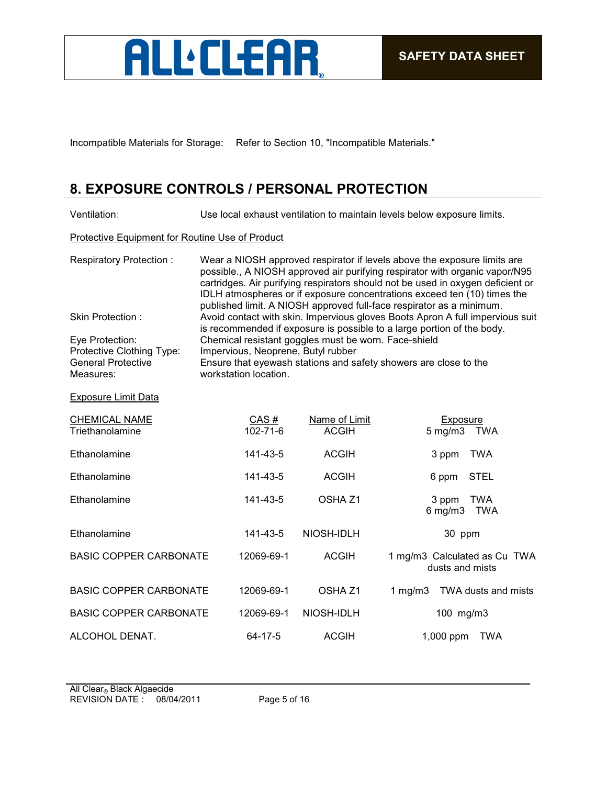

Incompatible Materials for Storage: Refer to Section 10, "Incompatible Materials."

## **8. EXPOSURE CONTROLS / PERSONAL PROTECTION**

| Ventilation:                                                                           | Use local exhaust ventilation to maintain levels below exposure limits.                                                                                                                                                                                                                                                                                                                        |                               |                                                   |  |
|----------------------------------------------------------------------------------------|------------------------------------------------------------------------------------------------------------------------------------------------------------------------------------------------------------------------------------------------------------------------------------------------------------------------------------------------------------------------------------------------|-------------------------------|---------------------------------------------------|--|
| Protective Equipment for Routine Use of Product                                        |                                                                                                                                                                                                                                                                                                                                                                                                |                               |                                                   |  |
| <b>Respiratory Protection:</b>                                                         | Wear a NIOSH approved respirator if levels above the exposure limits are<br>possible., A NIOSH approved air purifying respirator with organic vapor/N95<br>cartridges. Air purifying respirators should not be used in oxygen deficient or<br>IDLH atmospheres or if exposure concentrations exceed ten (10) times the<br>published limit. A NIOSH approved full-face respirator as a minimum. |                               |                                                   |  |
| Skin Protection:                                                                       | Avoid contact with skin. Impervious gloves Boots Apron A full impervious suit                                                                                                                                                                                                                                                                                                                  |                               |                                                   |  |
| Eye Protection:<br>Protective Clothing Type:<br><b>General Protective</b><br>Measures: | is recommended if exposure is possible to a large portion of the body.<br>Chemical resistant goggles must be worn. Face-shield<br>Impervious, Neoprene, Butyl rubber<br>Ensure that eyewash stations and safety showers are close to the<br>workstation location.                                                                                                                              |                               |                                                   |  |
| <b>Exposure Limit Data</b>                                                             |                                                                                                                                                                                                                                                                                                                                                                                                |                               |                                                   |  |
| <b>CHEMICAL NAME</b><br>Triethanolamine                                                | CAS#<br>102-71-6                                                                                                                                                                                                                                                                                                                                                                               | Name of Limit<br><b>ACGIH</b> | Exposure<br>$5$ mg/m $3$<br><b>TWA</b>            |  |
| Ethanolamine                                                                           | 141-43-5                                                                                                                                                                                                                                                                                                                                                                                       | <b>ACGIH</b>                  | 3 ppm<br><b>TWA</b>                               |  |
| Ethanolamine                                                                           | 141-43-5                                                                                                                                                                                                                                                                                                                                                                                       | <b>ACGIH</b>                  | <b>STEL</b><br>6 ppm                              |  |
| Ethanolamine                                                                           | 141-43-5                                                                                                                                                                                                                                                                                                                                                                                       | OSHA <sub>Z1</sub>            | 3 ppm<br><b>TWA</b><br>$6$ mg/m $3$<br><b>TWA</b> |  |
| Ethanolamine                                                                           | 141-43-5                                                                                                                                                                                                                                                                                                                                                                                       | NIOSH-IDLH                    | 30 ppm                                            |  |
| <b>BASIC COPPER CARBONATE</b>                                                          | 12069-69-1                                                                                                                                                                                                                                                                                                                                                                                     | <b>ACGIH</b>                  | 1 mg/m3 Calculated as Cu TWA<br>dusts and mists   |  |
| <b>BASIC COPPER CARBONATE</b>                                                          | 12069-69-1                                                                                                                                                                                                                                                                                                                                                                                     | OSHA <sub>Z1</sub>            | 1 mg/m $3$<br>TWA dusts and mists                 |  |
| <b>BASIC COPPER CARBONATE</b>                                                          | 12069-69-1                                                                                                                                                                                                                                                                                                                                                                                     | NIOSH-IDLH                    | 100 mg/m3                                         |  |
| ALCOHOL DENAT.                                                                         | 64-17-5                                                                                                                                                                                                                                                                                                                                                                                        | <b>ACGIH</b>                  | 1,000 ppm<br><b>TWA</b>                           |  |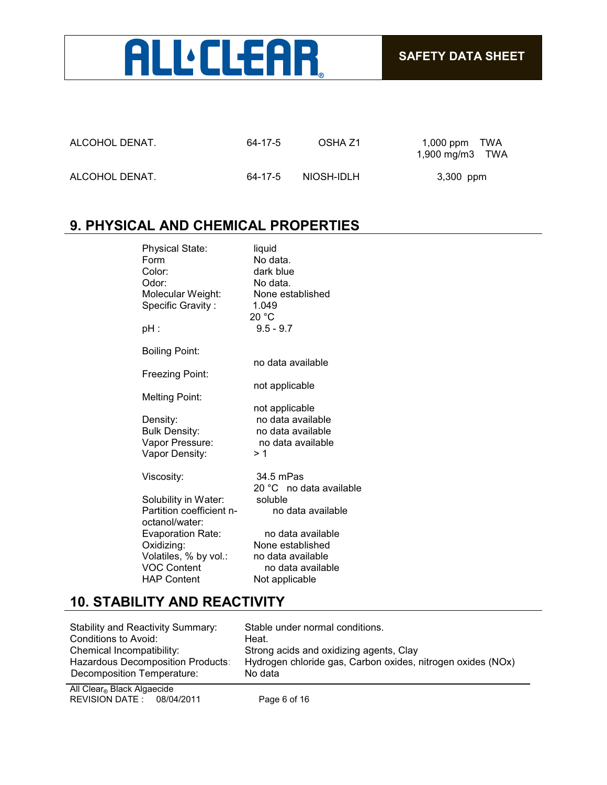

| ALCOHOL DENAT. | 64-17-5 | OSHA Z1    | 1,000 ppm $TWA$<br>1,900 mg/m $3$ TWA |
|----------------|---------|------------|---------------------------------------|
| ALCOHOL DENAT. | 64-17-5 | NIOSH-IDLH | 3,300 ppm                             |

### **9. PHYSICAL AND CHEMICAL PROPERTIES**

| <b>Physical State:</b><br>Form<br>Color:<br>Odor:<br>Molecular Weight:<br>Specific Gravity: | liquid<br>No data.<br>dark blue<br>No data.<br>None established<br>1.049<br>20 °C |
|---------------------------------------------------------------------------------------------|-----------------------------------------------------------------------------------|
| pH :                                                                                        | $9.5 - 9.7$                                                                       |
| Boiling Point:                                                                              |                                                                                   |
|                                                                                             | no data available                                                                 |
| Freezing Point:                                                                             |                                                                                   |
| Melting Point:                                                                              | not applicable                                                                    |
|                                                                                             | not applicable                                                                    |
| Density:                                                                                    | no data available                                                                 |
| <b>Bulk Density:</b>                                                                        | no data available                                                                 |
| Vapor Pressure:                                                                             | no data available                                                                 |
| Vapor Density:                                                                              | > 1                                                                               |
| Viscosity:                                                                                  | 34.5 mPas                                                                         |
|                                                                                             | 20 °C no data available                                                           |
| Solubility in Water:                                                                        | soluble                                                                           |
| Partition coefficient n-                                                                    | no data available                                                                 |
| octanol/water:                                                                              |                                                                                   |
| <b>Evaporation Rate:</b>                                                                    | no data available                                                                 |
| Oxidizing:                                                                                  | None established                                                                  |
| Volatiles, % by vol.:                                                                       | no data available                                                                 |
| <b>VOC Content</b>                                                                          | no data available                                                                 |
| <b>HAP Content</b>                                                                          | Not applicable                                                                    |

### **10. STABILITY AND REACTIVITY**

| Stability and Reactivity Summary: | Stable under normal conditions.                             |
|-----------------------------------|-------------------------------------------------------------|
| Conditions to Avoid:              | Heat.                                                       |
| Chemical Incompatibility:         | Strong acids and oxidizing agents, Clay                     |
| Hazardous Decomposition Products: | Hydrogen chloride gas, Carbon oxides, nitrogen oxides (NOx) |
| Decomposition Temperature:        | No data                                                     |

REVISION DATE : 08/04/2011 Page 6 of 16 All Clear® Black Algaecide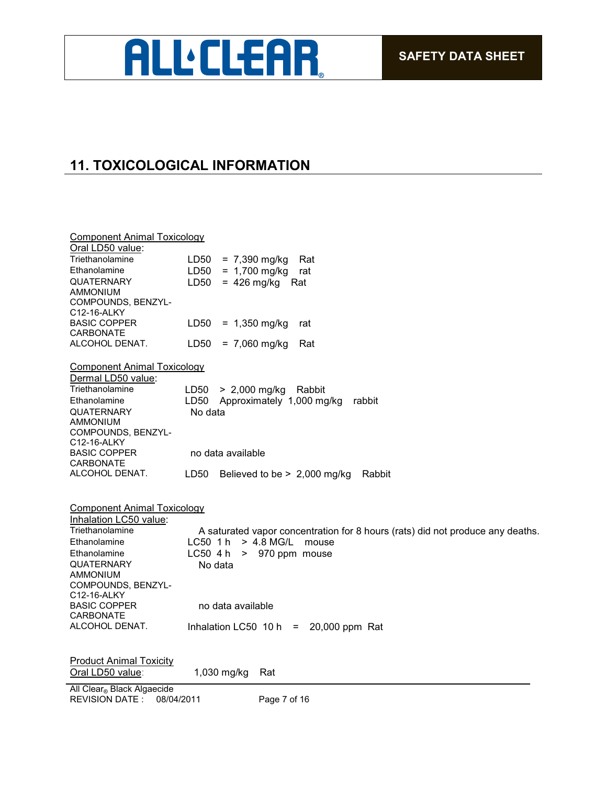## **ALL'CLEAR**

## **11. TOXICOLOGICAL INFORMATION**

| <b>Component Animal Toxicology</b>                          |                                                                                                           |
|-------------------------------------------------------------|-----------------------------------------------------------------------------------------------------------|
| Oral LD50 value:                                            |                                                                                                           |
| Triethanolamine                                             | $= 7,390$ mg/kg<br>LD <sub>50</sub><br>Rat                                                                |
| Ethanolamine                                                | LD50<br>$= 1,700$ mg/kg<br>rat                                                                            |
| <b>QUATERNARY</b>                                           | LD50<br>$= 426$ mg/kg<br>Rat                                                                              |
| <b>AMMONIUM</b>                                             |                                                                                                           |
| COMPOUNDS, BENZYL-                                          |                                                                                                           |
| C12-16-ALKY                                                 |                                                                                                           |
| <b>BASIC COPPER</b>                                         | LD50<br>$= 1,350$ mg/kg<br>rat                                                                            |
| <b>CARBONATE</b><br>ALCOHOL DENAT.                          | LD <sub>50</sub><br>$= 7,060$ mg/kg<br>Rat                                                                |
|                                                             |                                                                                                           |
| <b>Component Animal Toxicology</b>                          |                                                                                                           |
| Dermal LD50 value:                                          |                                                                                                           |
| Triethanolamine                                             | $> 2,000$ mg/kg<br>Rabbit<br>LD50                                                                         |
| Ethanolamine                                                | Approximately 1,000 mg/kg<br>LD50<br>rabbit                                                               |
| <b>QUATERNARY</b>                                           | No data                                                                                                   |
| AMMONIUM                                                    |                                                                                                           |
| COMPOUNDS, BENZYL-                                          |                                                                                                           |
| C12-16-ALKY                                                 |                                                                                                           |
| <b>BASIC COPPER</b>                                         | no data available                                                                                         |
| <b>CARBONATE</b><br>ALCOHOL DENAT.                          | LD50<br>Believed to be $> 2,000$ mg/kg<br>Rabbit                                                          |
|                                                             |                                                                                                           |
|                                                             |                                                                                                           |
| <b>Component Animal Toxicology</b>                          |                                                                                                           |
| Inhalation LC50 value:<br>Triethanolamine                   |                                                                                                           |
| Ethanolamine                                                | A saturated vapor concentration for 8 hours (rats) did not produce any deaths.<br>LC50 1h<br>$> 4.8$ MG/L |
|                                                             | mouse                                                                                                     |
| Ethanolamine                                                | $LCSO$ 4 h<br>> 970 ppm mouse                                                                             |
| <b>QUATERNARY</b><br><b>AMMONIUM</b>                        | No data                                                                                                   |
| COMPOUNDS, BENZYL-                                          |                                                                                                           |
| C12-16-ALKY                                                 |                                                                                                           |
| <b>BASIC COPPER</b>                                         | no data available                                                                                         |
| <b>CARBONATE</b>                                            |                                                                                                           |
| ALCOHOL DENAT.                                              | 20,000 ppm Rat<br>Inhalation LC50 $10 h =$                                                                |
|                                                             |                                                                                                           |
| <b>Product Animal Toxicity</b>                              |                                                                                                           |
| Oral LD50 value:                                            | 1,030 mg/kg<br>Rat                                                                                        |
|                                                             |                                                                                                           |
| All Clear® Black Algaecide<br>08/04/2011<br>REVISION DATE : | Page 7 of 16                                                                                              |
|                                                             |                                                                                                           |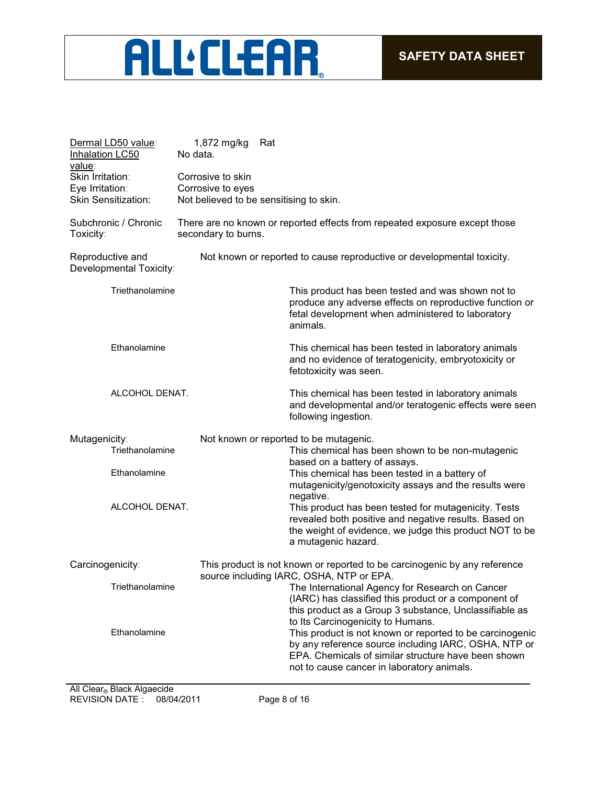# **ALL'CLEAR**

| Dermal LD50 value:<br>Inhalation LC50       | 1,872 mg/kg<br>Rat<br>No data. |                                                                                                                                                                                                                       |  |  |  |
|---------------------------------------------|--------------------------------|-----------------------------------------------------------------------------------------------------------------------------------------------------------------------------------------------------------------------|--|--|--|
| value:                                      |                                |                                                                                                                                                                                                                       |  |  |  |
| Skin Irritation:                            | Corrosive to skin              |                                                                                                                                                                                                                       |  |  |  |
| Eye Irritation:                             | Corrosive to eyes              |                                                                                                                                                                                                                       |  |  |  |
| <b>Skin Sensitization:</b>                  |                                | Not believed to be sensitising to skin.                                                                                                                                                                               |  |  |  |
| Subchronic / Chronic<br>Toxicity:           | secondary to burns.            | There are no known or reported effects from repeated exposure except those                                                                                                                                            |  |  |  |
| Reproductive and<br>Developmental Toxicity: |                                | Not known or reported to cause reproductive or developmental toxicity.                                                                                                                                                |  |  |  |
| Triethanolamine                             |                                | This product has been tested and was shown not to<br>produce any adverse effects on reproductive function or<br>fetal development when administered to laboratory<br>animals.                                         |  |  |  |
| Ethanolamine                                |                                | This chemical has been tested in laboratory animals<br>and no evidence of teratogenicity, embryotoxicity or<br>fetotoxicity was seen.                                                                                 |  |  |  |
| ALCOHOL DENAT.                              |                                | This chemical has been tested in laboratory animals<br>and developmental and/or teratogenic effects were seen<br>following ingestion.                                                                                 |  |  |  |
| Mutagenicity:                               |                                | Not known or reported to be mutagenic.                                                                                                                                                                                |  |  |  |
| Triethanolamine                             |                                | This chemical has been shown to be non-mutagenic<br>based on a battery of assays.                                                                                                                                     |  |  |  |
| Ethanolamine                                |                                | This chemical has been tested in a battery of<br>mutagenicity/genotoxicity assays and the results were                                                                                                                |  |  |  |
| ALCOHOL DENAT.                              |                                | negative.<br>This product has been tested for mutagenicity. Tests<br>revealed both positive and negative results. Based on<br>the weight of evidence, we judge this product NOT to be<br>a mutagenic hazard.          |  |  |  |
| Carcinogenicity:                            |                                | This product is not known or reported to be carcinogenic by any reference<br>source including IARC, OSHA, NTP or EPA.                                                                                                 |  |  |  |
| Triethanolamine                             |                                | The International Agency for Research on Cancer<br>(IARC) has classified this product or a component of<br>this product as a Group 3 substance, Unclassifiable as<br>to Its Carcinogenicity to Humans.                |  |  |  |
| Ethanolamine                                |                                | This product is not known or reported to be carcinogenic<br>by any reference source including IARC, OSHA, NTP or<br>EPA. Chemicals of similar structure have been shown<br>not to cause cancer in laboratory animals. |  |  |  |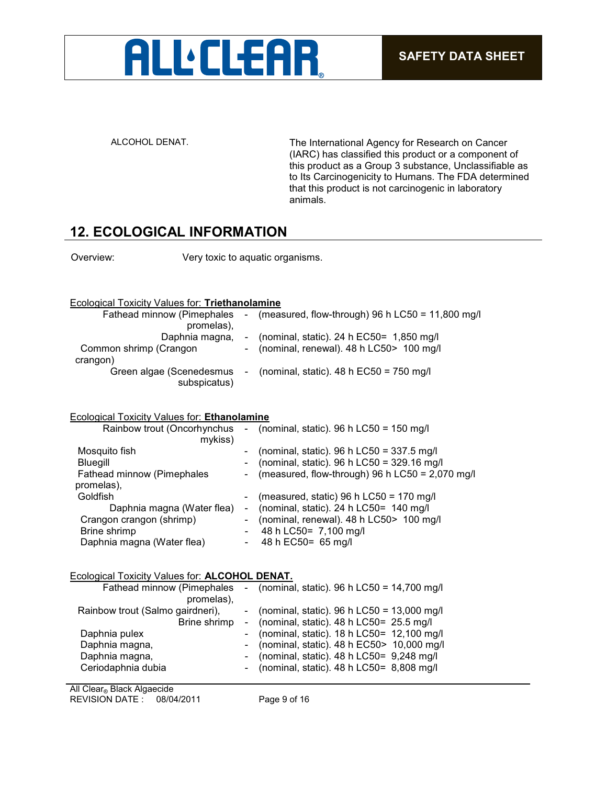

ALCOHOL DENAT. The International Agency for Research on Cancer (IARC) has classified this product or a component of this product as a Group 3 substance, Unclassifiable as to Its Carcinogenicity to Humans. The FDA determined that this product is not carcinogenic in laboratory animals.

#### **12. ECOLOGICAL INFORMATION**

Overview: Very toxic to aquatic organisms.

#### Ecological Toxicity Values for: **Triethanolamine**

| Fathead minnow (Pimephales -             |        | (measured, flow-through) 96 h LC50 = $11,800$ mg/l |
|------------------------------------------|--------|----------------------------------------------------|
| promelas),                               |        |                                                    |
| Daphnia magna,                           |        | (nominal, static). 24 h EC50= 1,850 mg/l           |
| Common shrimp (Crangon                   |        | - (nominal, renewal). 48 h LC50> 100 mg/l          |
| crangon)                                 |        |                                                    |
| Green algae (Scenedesmus<br>subspicatus) | $\sim$ | (nominal, static). 48 h $EC50 = 750$ mg/l          |
|                                          |        |                                                    |

#### Ecological Toxicity Values for: **Ethanolamine**

|                | Rainbow trout (Oncorhynchus - (nominal, static). 96 h LC50 = 150 mg/l                     |
|----------------|-------------------------------------------------------------------------------------------|
|                | (nominal, static). 96 h LC50 = $337.5$ mg/l<br>(nominal, static). 96 h LC50 = 329.16 mg/l |
| $\blacksquare$ | (measured, flow-through) 96 h LC50 = 2,070 mg/l                                           |
|                | (measured, static) 96 h LC50 = 170 mg/l                                                   |
|                | (nominal, static). 24 h $LC50 = 140$ mg/l                                                 |
| $-$            | (nominal, renewal). 48 h LC50> 100 mg/l                                                   |
| $\blacksquare$ | 48 h LC50= 7,100 mg/l                                                                     |
| $\sim$         | 48 h EC50= 65 mg/l                                                                        |
|                | $\blacksquare$                                                                            |

#### Ecological Toxicity Values for: **ALCOHOL DENAT.**

| Fathead minnow (Pimephales       | - (nominal, static). 96 h LC50 = 14,700 mg/l   |
|----------------------------------|------------------------------------------------|
| promelas),                       |                                                |
| Rainbow trout (Salmo gairdneri), | - (nominal, static). 96 h LC50 = $13,000$ mg/l |
| Brine shrimp                     | - (nominal, static). $48 h$ LC50= $25.5$ mg/l  |
| Daphnia pulex                    | - (nominal, static). 18 h LC50= 12,100 mg/l    |
| Daphnia magna,                   | - (nominal, static). 48 h EC50> 10,000 mg/l    |
| Daphnia magna,                   | - (nominal, static). $48 h$ LC50= $9,248$ mg/l |
| Ceriodaphnia dubia               | - (nominal, static). $48 h$ LC50= $8,808$ mg/l |
|                                  |                                                |

REVISION DATE : 08/04/2011 Page 9 of 16 All Clear<sub>®</sub> Black Algaecide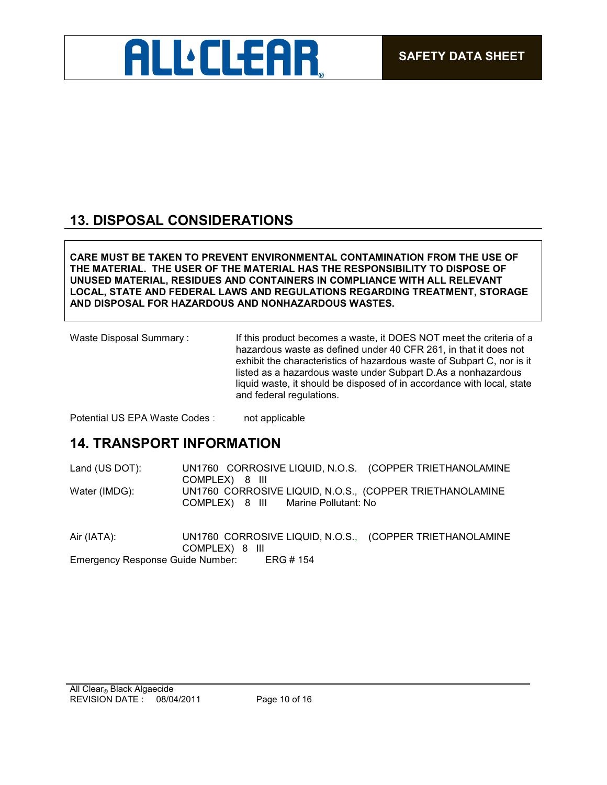

## **13. DISPOSAL CONSIDERATIONS**

**CARE MUST BE TAKEN TO PREVENT ENVIRONMENTAL CONTAMINATION FROM THE USE OF THE MATERIAL. THE USER OF THE MATERIAL HAS THE RESPONSIBILITY TO DISPOSE OF UNUSED MATERIAL, RESIDUES AND CONTAINERS IN COMPLIANCE WITH ALL RELEVANT LOCAL, STATE AND FEDERAL LAWS AND REGULATIONS REGARDING TREATMENT, STORAGE AND DISPOSAL FOR HAZARDOUS AND NONHAZARDOUS WASTES.** 

Waste Disposal Summary : If this product becomes a waste, it DOES NOT meet the criteria of a hazardous waste as defined under 40 CFR 261, in that it does not exhibit the characteristics of hazardous waste of Subpart C, nor is it listed as a hazardous waste under Subpart D.As a nonhazardous liquid waste, it should be disposed of in accordance with local, state and federal regulations.

Potential US EPA Waste Codes : not applicable

### **14. TRANSPORT INFORMATION**

Land (US DOT): UN1760 CORROSIVE LIQUID, N.O.S. (COPPER TRIETHANOLAMINE COMPLEX) 8 III Water (IMDG): UN1760 CORROSIVE LIQUID, N.O.S., (COPPER TRIETHANOLAMINE COMPLEX) 8 III Marine Pollutant: No

Air (IATA): UN1760 CORROSIVE LIQUID, N.O.S., (COPPER TRIETHANOLAMINE COMPLEX) 8 III Emergency Response Guide Number: ERG # 154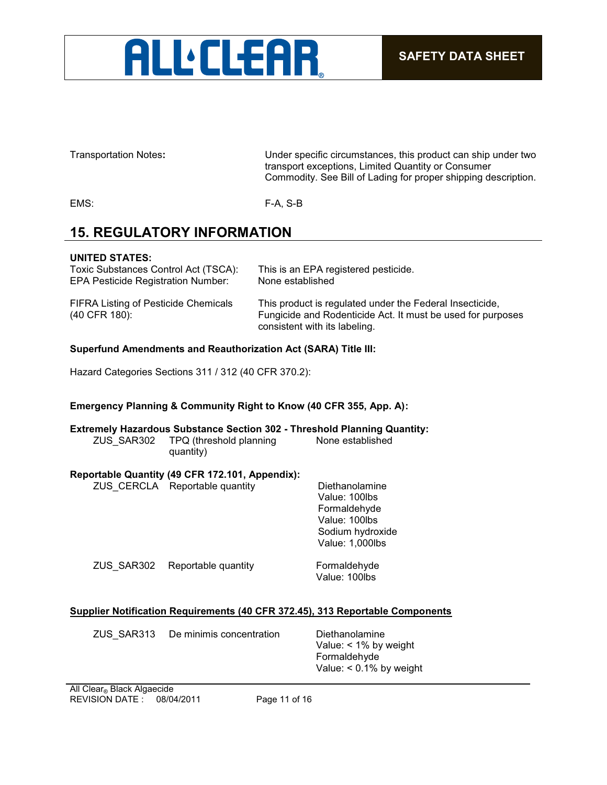

Transportation Notes**:** Under specific circumstances, this product can ship under two transport exceptions, Limited Quantity or Consumer Commodity. See Bill of Lading for proper shipping description.

EMS: F-A, S-B

## **15. REGULATORY INFORMATION**

#### **UNITED STATES:**

| Toxic Substances Control Act (TSCA):                         | This is an EPA registered pesticide.                                                                                                                     |
|--------------------------------------------------------------|----------------------------------------------------------------------------------------------------------------------------------------------------------|
| <b>EPA Pesticide Registration Number:</b>                    | None established                                                                                                                                         |
| <b>FIFRA Listing of Pesticide Chemicals</b><br>(40 CFR 180): | This product is regulated under the Federal Insecticide,<br>Fungicide and Rodenticide Act. It must be used for purposes<br>consistent with its labeling. |

#### **Superfund Amendments and Reauthorization Act (SARA) Title III:**

Hazard Categories Sections 311 / 312 (40 CFR 370.2):

#### **Emergency Planning & Community Right to Know (40 CFR 355, App. A):**

**Extremely Hazardous Substance Section 302 - Threshold Planning Quantity:** ZUS\_SAR302 TPQ (threshold planning None established quantity)

#### **Reportable Quantity (49 CFR 172.101, Appendix):**

|            | ZUS CERCLA Reportable quantity | Diethanolamine<br>Value: 100lbs<br>Formaldehyde<br>Value: 100lbs<br>Sodium hydroxide<br>Value: 1,000lbs |
|------------|--------------------------------|---------------------------------------------------------------------------------------------------------|
| ZUS SAR302 | Reportable quantity            | Formaldehyde<br>Value: 100lbs                                                                           |

#### **Supplier Notification Requirements (40 CFR 372.45), 313 Reportable Components**

Diethanolamine Value: < 1% by weight Formaldehyde Value: < 0.1% by weight

REVISION DATE : 08/04/2011 Page 11 of 16 All Clear® Black Algaecide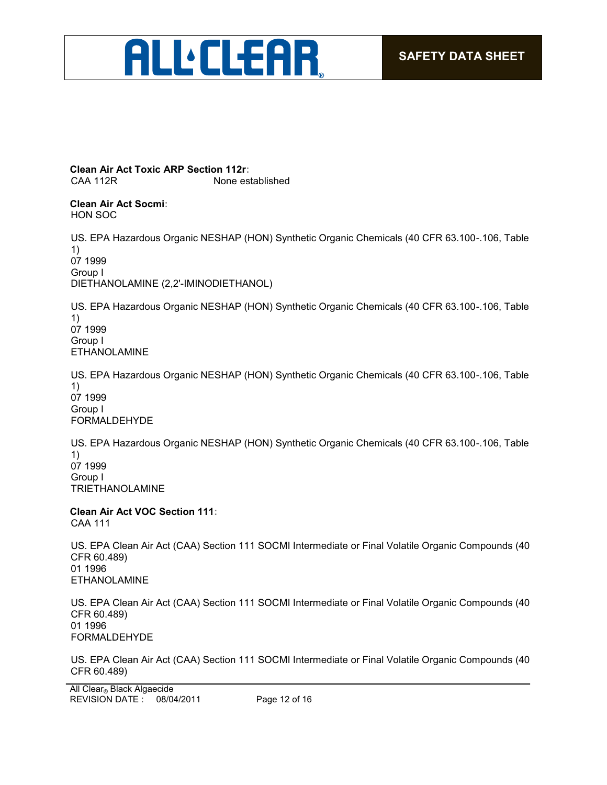

**Clean Air Act Toxic ARP Section 112r:** CAA 112R None established

**Clean Air Act Socmi:** HON SOC

US. EPA Hazardous Organic NESHAP (HON) Synthetic Organic Chemicals (40 CFR 63.100-.106, Table 1) 07 1999 Group I DIETHANOLAMINE (2,2'-IMINODIETHANOL)

US. EPA Hazardous Organic NESHAP (HON) Synthetic Organic Chemicals (40 CFR 63.100-.106, Table 1) 07 1999 Group I ETHANOLAMINE

US. EPA Hazardous Organic NESHAP (HON) Synthetic Organic Chemicals (40 CFR 63.100-.106, Table 1) 07 1999 Group I FORMALDEHYDE

US. EPA Hazardous Organic NESHAP (HON) Synthetic Organic Chemicals (40 CFR 63.100-.106, Table 1) 07 1999 Group I TRIETHANOLAMINE

**Clean Air Act VOC Section 111:** CAA 111

US. EPA Clean Air Act (CAA) Section 111 SOCMI Intermediate or Final Volatile Organic Compounds (40 CFR 60.489) 01 1996 ETHANOLAMINE

US. EPA Clean Air Act (CAA) Section 111 SOCMI Intermediate or Final Volatile Organic Compounds (40 CFR 60.489) 01 1996 FORMALDEHYDE

US. EPA Clean Air Act (CAA) Section 111 SOCMI Intermediate or Final Volatile Organic Compounds (40 CFR 60.489)

REVISION DATE : 08/04/2011 Page 12 of 16 All Clear® Black Algaecide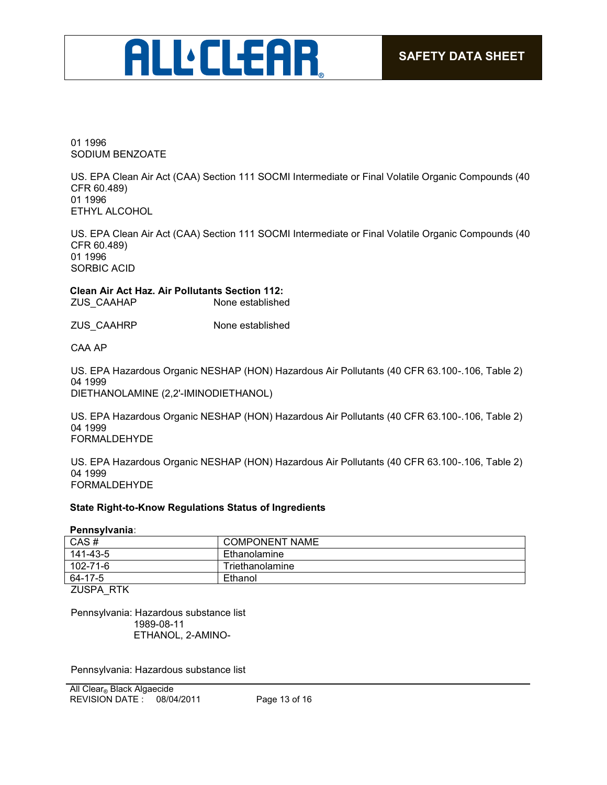## **ALL:CLEAR**

01 1996 SODIUM BENZOATE

US. EPA Clean Air Act (CAA) Section 111 SOCMI Intermediate or Final Volatile Organic Compounds (40 CFR 60.489) 01 1996 ETHYL ALCOHOL

US. EPA Clean Air Act (CAA) Section 111 SOCMI Intermediate or Final Volatile Organic Compounds (40 CFR 60.489) 01 1996 SORBIC ACID

**Clean Air Act Haz. Air Pollutants Section 112:** ZUS CAAHAP

ZUS\_CAAHRP None established

CAA AP

US. EPA Hazardous Organic NESHAP (HON) Hazardous Air Pollutants (40 CFR 63.100-.106, Table 2) 04 1999 DIETHANOLAMINE (2,2'-IMINODIETHANOL)

US. EPA Hazardous Organic NESHAP (HON) Hazardous Air Pollutants (40 CFR 63.100-.106, Table 2) 04 1999 FORMALDEHYDE

US. EPA Hazardous Organic NESHAP (HON) Hazardous Air Pollutants (40 CFR 63.100-.106, Table 2) 04 1999 FORMALDEHYDE

#### **State Right-to-Know Regulations Status of Ingredients**

**Pennsylvania:**

| CAS#         | <b>COMPONENT NAME</b> |
|--------------|-----------------------|
| 141-43-5     | Ethanolamine          |
| 102-71-6     | Triethanolamine       |
| 64-17-5      | Ethanol               |
| $711001$ DTI |                       |

ZUSPA\_RTK

Pennsylvania: Hazardous substance list 1989-08-11 ETHANOL, 2-AMINO-

Pennsylvania: Hazardous substance list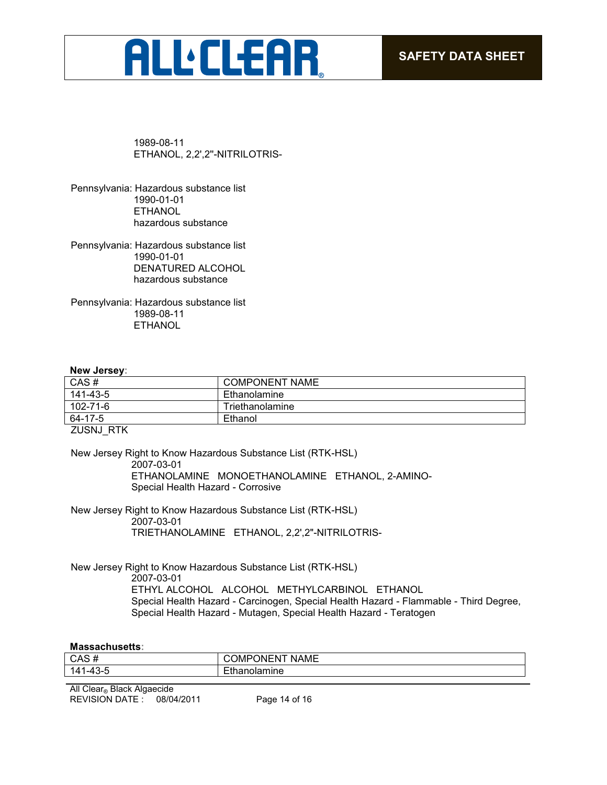## **ALL'CLEAR**

1989-08-11 ETHANOL, 2,2',2''-NITRILOTRIS-

Pennsylvania: Hazardous substance list 1990-01-01 **ETHANOL** hazardous substance

Pennsylvania: Hazardous substance list 1990-01-01 DENATURED ALCOHOL hazardous substance

Pennsylvania: Hazardous substance list 1989-08-11 ETHANOL

#### **New Jersey:**

| CAS#     | <b>COMPONENT NAME</b> |
|----------|-----------------------|
| 141-43-5 | Ethanolamine          |
| 102-71-6 | Triethanolamine       |
| 64-17-5  | Ethanol               |
|          |                       |

ZUSNJ\_RTK

New Jersey Right to Know Hazardous Substance List (RTK-HSL) 2007-03-01 ETHANOLAMINE MONOETHANOLAMINE ETHANOL, 2-AMINO-Special Health Hazard - Corrosive

New Jersey Right to Know Hazardous Substance List (RTK-HSL) 2007-03-01 TRIETHANOLAMINE ETHANOL, 2,2',2"-NITRILOTRIS-

New Jersey Right to Know Hazardous Substance List (RTK-HSL) 2007-03-01 ETHYL ALCOHOL ALCOHOL METHYLCARBINOL ETHANOL Special Health Hazard - Carcinogen, Special Health Hazard - Flammable - Third Degree, Special Health Hazard - Mutagen, Special Health Hazard - Teratogen

#### **Massachusetts:**

| CAS#                                      | $\overline{\phantom{a}}$<br>∋N⊢N<br><b>NAME</b><br>JMF<br>ີ |
|-------------------------------------------|-------------------------------------------------------------|
| $\Lambda$<br>141<br>`-<br>. <u>.</u><br>ີ | unne                                                        |
|                                           |                                                             |

REVISION DATE : 08/04/2011 Page 14 of 16 All Clear® Black Algaecide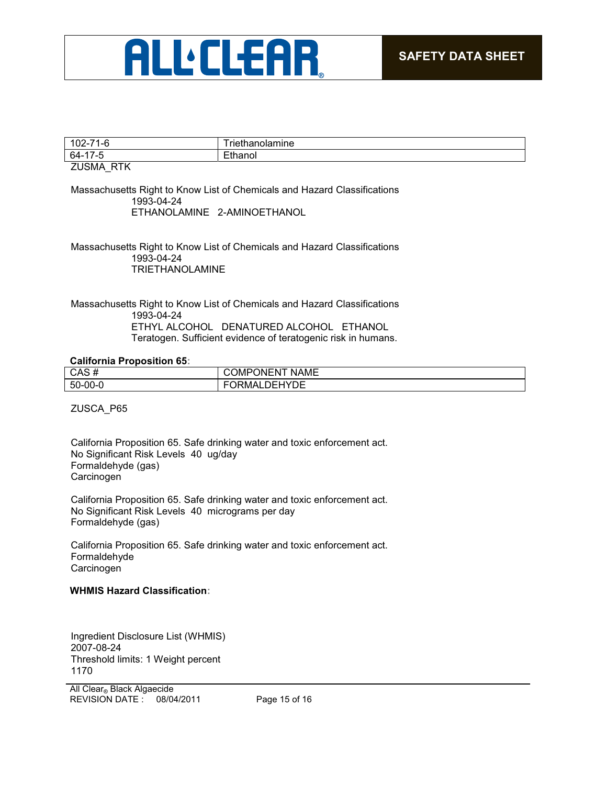

|                | ше |
|----------------|----|
| -64            |    |
| ______________ |    |

#### ZUSMA\_RTK

Massachusetts Right to Know List of Chemicals and Hazard Classifications 1993-04-24 ETHANOLAMINE 2-AMINOETHANOL

Massachusetts Right to Know List of Chemicals and Hazard Classifications 1993-04-24 TRIETHANOLAMINE

Massachusetts Right to Know List of Chemicals and Hazard Classifications 1993-04-24 ETHYL ALCOHOL DENATURED ALCOHOL ETHANOL Teratogen. Sufficient evidence of teratogenic risk in humans.

#### **California Proposition 65:**

| CAS#          | <b>NAME</b><br><b>ONENT</b><br><b>COMP</b> |
|---------------|--------------------------------------------|
| $50 - 00 - 0$ | ORMALDEHYDE                                |
|               |                                            |

ZUSCA\_P65

California Proposition 65. Safe drinking water and toxic enforcement act. No Significant Risk Levels 40 ug/day Formaldehyde (gas) **Carcinogen** 

California Proposition 65. Safe drinking water and toxic enforcement act. No Significant Risk Levels 40 micrograms per day Formaldehyde (gas)

California Proposition 65. Safe drinking water and toxic enforcement act. Formaldehyde **Carcinogen** 

#### **WHMIS Hazard Classification:**

Ingredient Disclosure List (WHMIS) 2007-08-24 Threshold limits: 1 Weight percent 1170

REVISION DATE : 08/04/2011 Page 15 of 16 All Clear® Black Algaecide